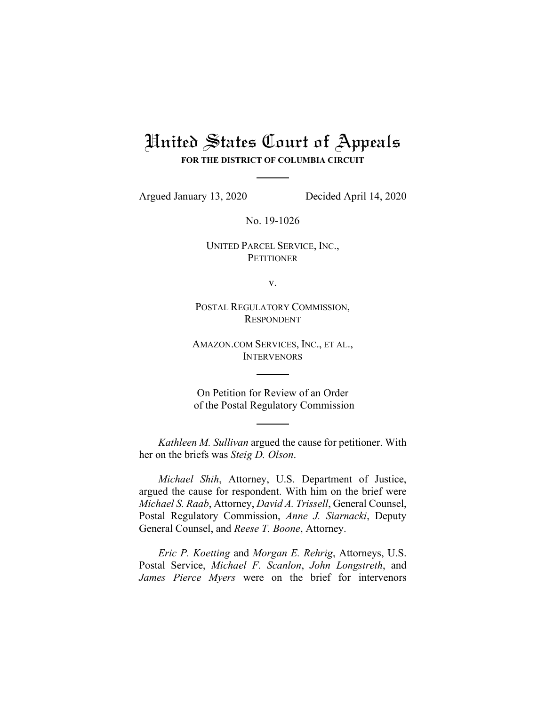# United States Court of Appeals **FOR THE DISTRICT OF COLUMBIA CIRCUIT**

Argued January 13, 2020 Decided April 14, 2020

No. 19-1026

UNITED PARCEL SERVICE, INC., **PETITIONER** 

v.

POSTAL REGULATORY COMMISSION, RESPONDENT

AMAZON.COM SERVICES, INC., ET AL., **INTERVENORS** 

On Petition for Review of an Order of the Postal Regulatory Commission

*Kathleen M. Sullivan* argued the cause for petitioner. With her on the briefs was *Steig D. Olson*.

*Michael Shih*, Attorney, U.S. Department of Justice, argued the cause for respondent. With him on the brief were *Michael S. Raab*, Attorney, *David A. Trissell*, General Counsel, Postal Regulatory Commission, *Anne J. Siarnacki*, Deputy General Counsel, and *Reese T. Boone*, Attorney.

*Eric P. Koetting* and *Morgan E. Rehrig*, Attorneys, U.S. Postal Service, *Michael F. Scanlon*, *John Longstreth*, and *James Pierce Myers* were on the brief for intervenors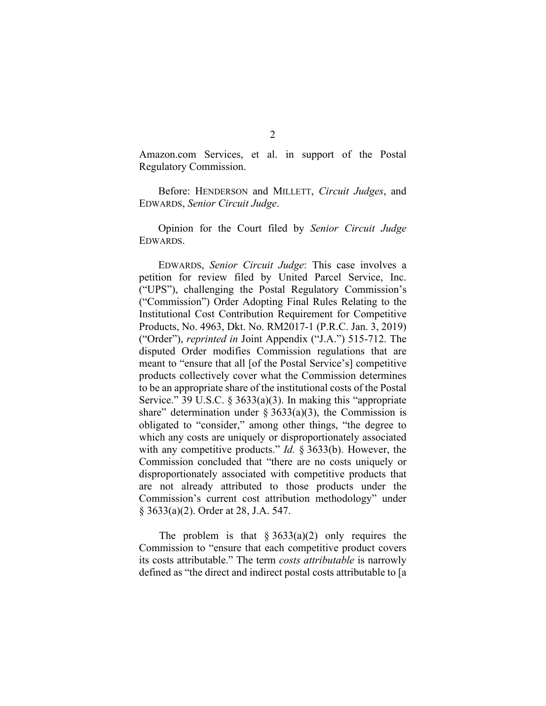Amazon.com Services, et al. in support of the Postal Regulatory Commission.

Before: HENDERSON and MILLETT, *Circuit Judges*, and EDWARDS, *Senior Circuit Judge*.

Opinion for the Court filed by *Senior Circuit Judge*  EDWARDS.

EDWARDS, *Senior Circuit Judge*: This case involves a petition for review filed by United Parcel Service, Inc. ("UPS"), challenging the Postal Regulatory Commission's ("Commission") Order Adopting Final Rules Relating to the Institutional Cost Contribution Requirement for Competitive Products, No. 4963, Dkt. No. RM2017-1 (P.R.C. Jan. 3, 2019) ("Order"), *reprinted in* Joint Appendix ("J.A.") 515-712. The disputed Order modifies Commission regulations that are meant to "ensure that all [of the Postal Service's] competitive products collectively cover what the Commission determines to be an appropriate share of the institutional costs of the Postal Service." 39 U.S.C. § 3633(a)(3). In making this "appropriate share" determination under  $\S 3633(a)(3)$ , the Commission is obligated to "consider," among other things, "the degree to which any costs are uniquely or disproportionately associated with any competitive products." *Id.* § 3633(b). However, the Commission concluded that "there are no costs uniquely or disproportionately associated with competitive products that are not already attributed to those products under the Commission's current cost attribution methodology" under § 3633(a)(2). Order at 28, J.A. 547.

The problem is that  $\S 3633(a)(2)$  only requires the Commission to "ensure that each competitive product covers its costs attributable." The term *costs attributable* is narrowly defined as "the direct and indirect postal costs attributable to [a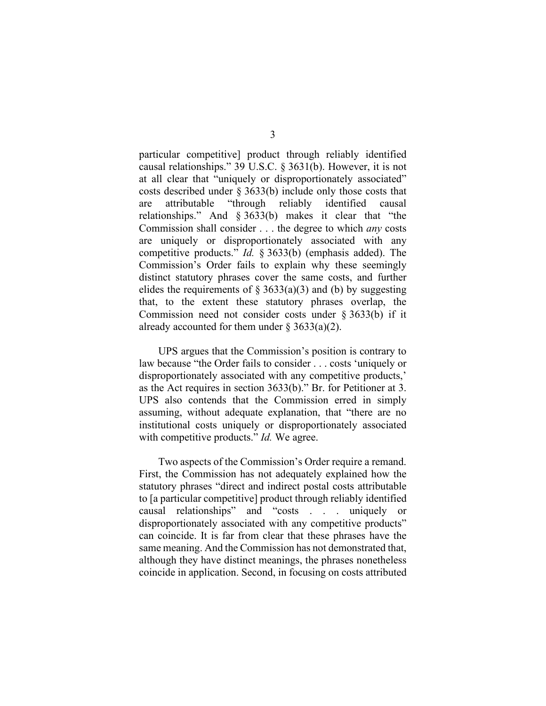particular competitive] product through reliably identified causal relationships." 39 U.S.C. § 3631(b). However, it is not at all clear that "uniquely or disproportionately associated" costs described under § 3633(b) include only those costs that are attributable "through reliably identified causal relationships." And § 3633(b) makes it clear that "the Commission shall consider . . . the degree to which *any* costs are uniquely or disproportionately associated with any competitive products." *Id.* § 3633(b) (emphasis added). The Commission's Order fails to explain why these seemingly distinct statutory phrases cover the same costs, and further elides the requirements of  $\S 3633(a)(3)$  and (b) by suggesting that, to the extent these statutory phrases overlap, the Commission need not consider costs under § 3633(b) if it already accounted for them under  $\S 3633(a)(2)$ .

UPS argues that the Commission's position is contrary to law because "the Order fails to consider . . . costs 'uniquely or disproportionately associated with any competitive products,' as the Act requires in section 3633(b)." Br. for Petitioner at 3. UPS also contends that the Commission erred in simply assuming, without adequate explanation, that "there are no institutional costs uniquely or disproportionately associated with competitive products." *Id.* We agree.

Two aspects of the Commission's Order require a remand. First, the Commission has not adequately explained how the statutory phrases "direct and indirect postal costs attributable to [a particular competitive] product through reliably identified causal relationships" and "costs . . . uniquely or disproportionately associated with any competitive products" can coincide. It is far from clear that these phrases have the same meaning. And the Commission has not demonstrated that, although they have distinct meanings, the phrases nonetheless coincide in application. Second, in focusing on costs attributed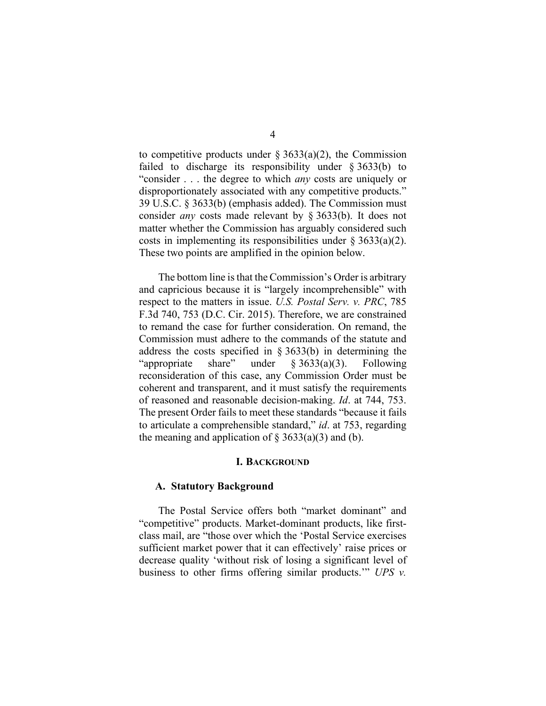to competitive products under  $\S 3633(a)(2)$ , the Commission failed to discharge its responsibility under § 3633(b) to "consider . . . the degree to which *any* costs are uniquely or disproportionately associated with any competitive products." 39 U.S.C. § 3633(b) (emphasis added). The Commission must consider *any* costs made relevant by § 3633(b). It does not matter whether the Commission has arguably considered such costs in implementing its responsibilities under  $\S 3633(a)(2)$ . These two points are amplified in the opinion below.

The bottom line is that the Commission's Order is arbitrary and capricious because it is "largely incomprehensible" with respect to the matters in issue. *U.S. Postal Serv. v. PRC*, 785 F.3d 740, 753 (D.C. Cir. 2015). Therefore, we are constrained to remand the case for further consideration. On remand, the Commission must adhere to the commands of the statute and address the costs specified in § 3633(b) in determining the "appropriate share" under § 3633(a)(3). Following reconsideration of this case, any Commission Order must be coherent and transparent, and it must satisfy the requirements of reasoned and reasonable decision-making. *Id*. at 744, 753. The present Order fails to meet these standards "because it fails to articulate a comprehensible standard," *id*. at 753, regarding the meaning and application of  $\S$  3633(a)(3) and (b).

#### **I. BACKGROUND**

#### **A. Statutory Background**

The Postal Service offers both "market dominant" and "competitive" products. Market-dominant products, like firstclass mail, are "those over which the 'Postal Service exercises sufficient market power that it can effectively' raise prices or decrease quality 'without risk of losing a significant level of business to other firms offering similar products.'" *UPS v.*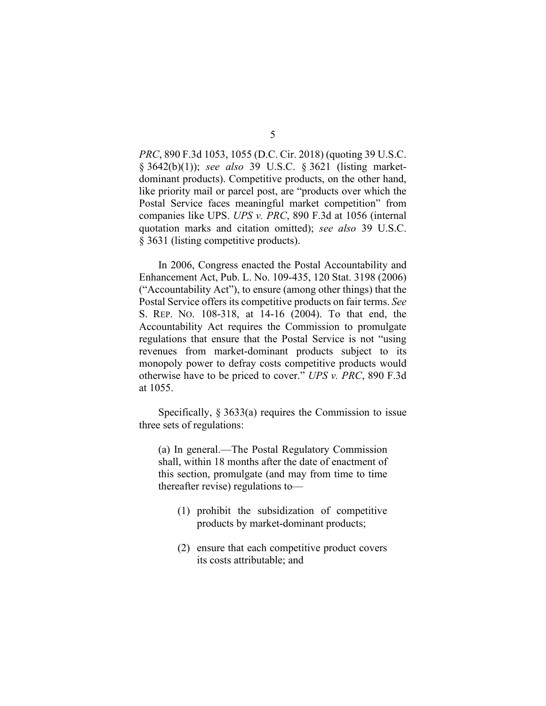*PRC*, 890 F.3d 1053, 1055 (D.C. Cir. 2018) (quoting 39 U.S.C. § 3642(b)(1)); *see also* 39 U.S.C. § 3621 (listing marketdominant products). Competitive products, on the other hand, like priority mail or parcel post, are "products over which the Postal Service faces meaningful market competition" from companies like UPS. *UPS v. PRC*, 890 F.3d at 1056 (internal quotation marks and citation omitted); *see also* 39 U.S.C. § 3631 (listing competitive products).

In 2006, Congress enacted the Postal Accountability and Enhancement Act, Pub. L. No. 109-435, 120 Stat. 3198 (2006) ("Accountability Act"), to ensure (among other things) that the Postal Service offers its competitive products on fair terms. *See* S. REP. NO. 108-318, at 14-16 (2004). To that end, the Accountability Act requires the Commission to promulgate regulations that ensure that the Postal Service is not "using revenues from market-dominant products subject to its monopoly power to defray costs competitive products would otherwise have to be priced to cover." *UPS v. PRC*, 890 F.3d at 1055.

Specifically,  $\S 3633(a)$  requires the Commission to issue three sets of regulations:

(a) In general.—The Postal Regulatory Commission shall, within 18 months after the date of enactment of this section, promulgate (and may from time to time thereafter revise) regulations to—

- (1) prohibit the subsidization of competitive products by market-dominant products;
- (2) ensure that each competitive product covers its costs attributable; and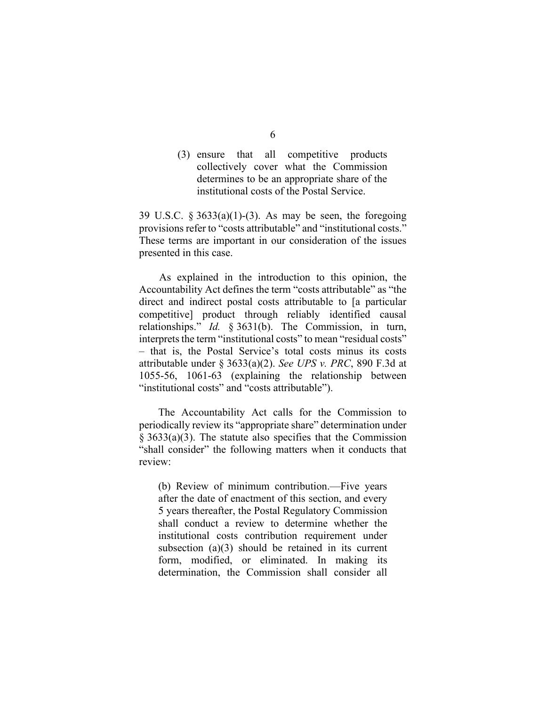(3) ensure that all competitive products collectively cover what the Commission determines to be an appropriate share of the institutional costs of the Postal Service.

39 U.S.C.  $\S 3633(a)(1)-(3)$ . As may be seen, the foregoing provisions refer to "costs attributable" and "institutional costs." These terms are important in our consideration of the issues presented in this case.

As explained in the introduction to this opinion, the Accountability Act defines the term "costs attributable" as "the direct and indirect postal costs attributable to [a particular competitive] product through reliably identified causal relationships." *Id.* § 3631(b). The Commission, in turn, interprets the term "institutional costs" to mean "residual costs" – that is, the Postal Service's total costs minus its costs attributable under § 3633(a)(2). *See UPS v. PRC*, 890 F.3d at 1055-56, 1061-63 (explaining the relationship between "institutional costs" and "costs attributable").

The Accountability Act calls for the Commission to periodically review its "appropriate share" determination under § 3633(a)(3). The statute also specifies that the Commission "shall consider" the following matters when it conducts that review:

(b) Review of minimum contribution.—Five years after the date of enactment of this section, and every 5 years thereafter, the Postal Regulatory Commission shall conduct a review to determine whether the institutional costs contribution requirement under subsection (a)(3) should be retained in its current form, modified, or eliminated. In making its determination, the Commission shall consider all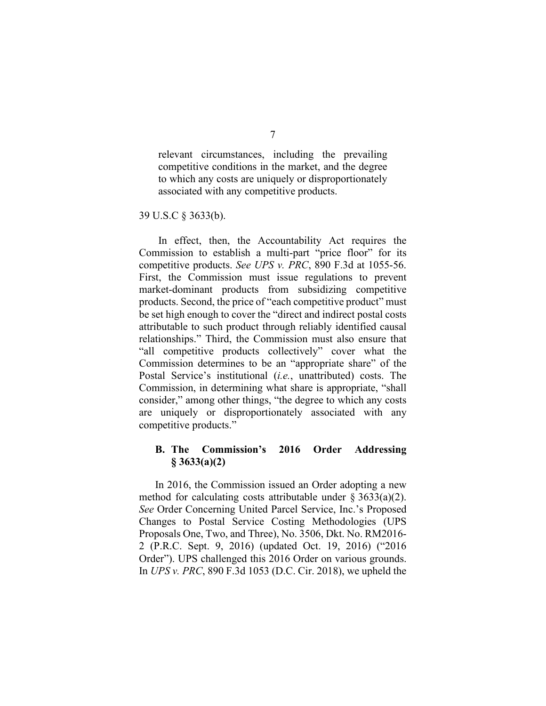relevant circumstances, including the prevailing competitive conditions in the market, and the degree to which any costs are uniquely or disproportionately associated with any competitive products.

39 U.S.C § 3633(b).

In effect, then, the Accountability Act requires the Commission to establish a multi-part "price floor" for its competitive products. *See UPS v. PRC*, 890 F.3d at 1055-56. First, the Commission must issue regulations to prevent market-dominant products from subsidizing competitive products. Second, the price of "each competitive product" must be set high enough to cover the "direct and indirect postal costs attributable to such product through reliably identified causal relationships." Third, the Commission must also ensure that "all competitive products collectively" cover what the Commission determines to be an "appropriate share" of the Postal Service's institutional (*i.e.*, unattributed) costs. The Commission, in determining what share is appropriate, "shall consider," among other things, "the degree to which any costs are uniquely or disproportionately associated with any competitive products."

## **B. The Commission's 2016 Order Addressing § 3633(a)(2)**

In 2016, the Commission issued an Order adopting a new method for calculating costs attributable under  $\S 3633(a)(2)$ . *See* Order Concerning United Parcel Service, Inc.'s Proposed Changes to Postal Service Costing Methodologies (UPS Proposals One, Two, and Three), No. 3506, Dkt. No. RM2016- 2 (P.R.C. Sept. 9, 2016) (updated Oct. 19, 2016) ("2016 Order"). UPS challenged this 2016 Order on various grounds. In *UPS v. PRC*, 890 F.3d 1053 (D.C. Cir. 2018), we upheld the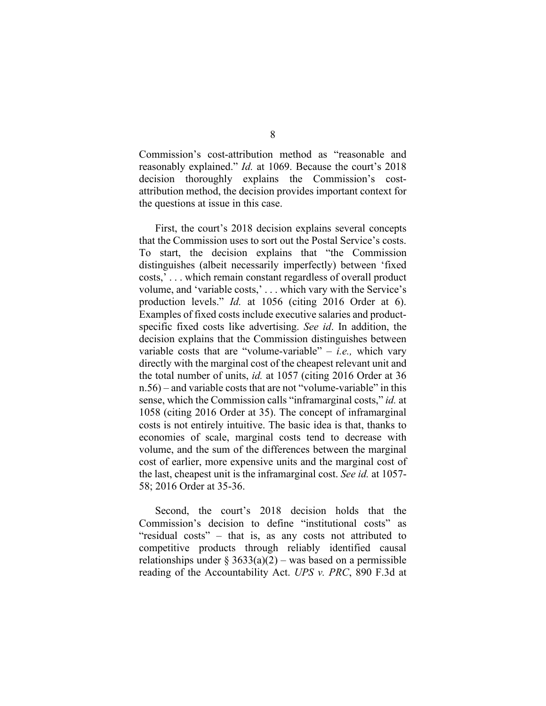Commission's cost-attribution method as "reasonable and reasonably explained." *Id.* at 1069. Because the court's 2018 decision thoroughly explains the Commission's costattribution method, the decision provides important context for the questions at issue in this case.

First, the court's 2018 decision explains several concepts that the Commission uses to sort out the Postal Service's costs. To start, the decision explains that "the Commission distinguishes (albeit necessarily imperfectly) between 'fixed costs,' . . . which remain constant regardless of overall product volume, and 'variable costs,' . . . which vary with the Service's production levels." *Id.* at 1056 (citing 2016 Order at 6). Examples of fixed costs include executive salaries and productspecific fixed costs like advertising. *See id*. In addition, the decision explains that the Commission distinguishes between variable costs that are "volume-variable" – *i.e.,* which vary directly with the marginal cost of the cheapest relevant unit and the total number of units, *id.* at 1057 (citing 2016 Order at 36 n.56) – and variable costs that are not "volume-variable" in this sense, which the Commission calls "inframarginal costs," *id.* at 1058 (citing 2016 Order at 35). The concept of inframarginal costs is not entirely intuitive. The basic idea is that, thanks to economies of scale, marginal costs tend to decrease with volume, and the sum of the differences between the marginal cost of earlier, more expensive units and the marginal cost of the last, cheapest unit is the inframarginal cost. *See id.* at 1057- 58; 2016 Order at 35-36.

Second, the court's 2018 decision holds that the Commission's decision to define "institutional costs" as "residual costs" – that is, as any costs not attributed to competitive products through reliably identified causal relationships under  $\S 3633(a)(2)$  – was based on a permissible reading of the Accountability Act. *UPS v. PRC*, 890 F.3d at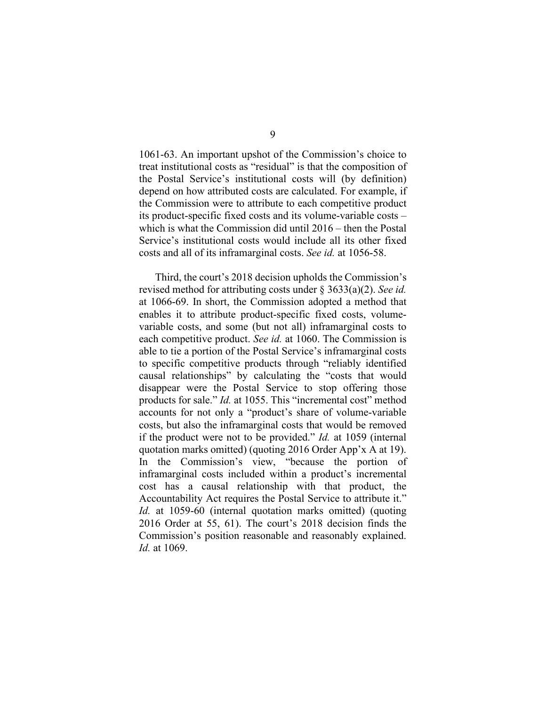1061-63. An important upshot of the Commission's choice to treat institutional costs as "residual" is that the composition of the Postal Service's institutional costs will (by definition) depend on how attributed costs are calculated. For example, if the Commission were to attribute to each competitive product its product-specific fixed costs and its volume-variable costs – which is what the Commission did until 2016 – then the Postal Service's institutional costs would include all its other fixed costs and all of its inframarginal costs. *See id.* at 1056-58.

Third, the court's 2018 decision upholds the Commission's revised method for attributing costs under § 3633(a)(2). *See id.*  at 1066-69. In short, the Commission adopted a method that enables it to attribute product-specific fixed costs, volumevariable costs, and some (but not all) inframarginal costs to each competitive product. *See id.* at 1060. The Commission is able to tie a portion of the Postal Service's inframarginal costs to specific competitive products through "reliably identified causal relationships" by calculating the "costs that would disappear were the Postal Service to stop offering those products for sale." *Id.* at 1055. This "incremental cost" method accounts for not only a "product's share of volume-variable costs, but also the inframarginal costs that would be removed if the product were not to be provided." *Id.* at 1059 (internal quotation marks omitted) (quoting 2016 Order App'x A at 19). In the Commission's view, "because the portion of inframarginal costs included within a product's incremental cost has a causal relationship with that product, the Accountability Act requires the Postal Service to attribute it." *Id.* at 1059-60 (internal quotation marks omitted) (quoting 2016 Order at 55, 61). The court's 2018 decision finds the Commission's position reasonable and reasonably explained. *Id.* at 1069.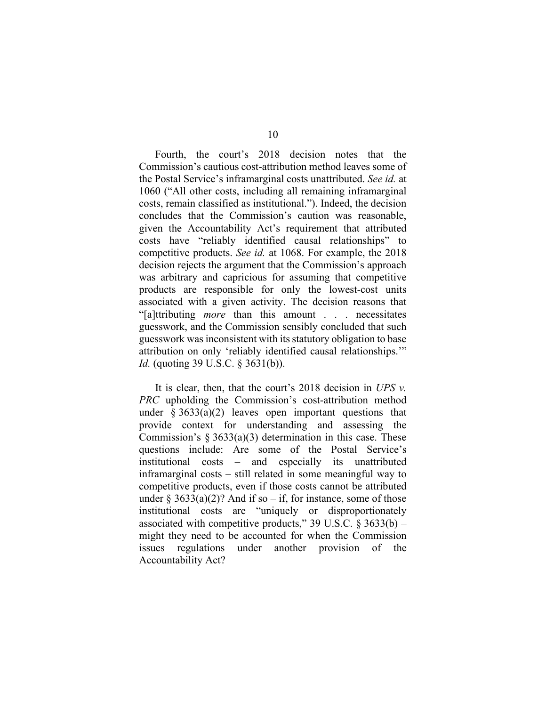Fourth, the court's 2018 decision notes that the Commission's cautious cost-attribution method leaves some of the Postal Service's inframarginal costs unattributed. *See id.* at 1060 ("All other costs, including all remaining inframarginal costs, remain classified as institutional."). Indeed, the decision concludes that the Commission's caution was reasonable, given the Accountability Act's requirement that attributed costs have "reliably identified causal relationships" to competitive products. *See id.* at 1068. For example, the 2018 decision rejects the argument that the Commission's approach was arbitrary and capricious for assuming that competitive products are responsible for only the lowest-cost units associated with a given activity. The decision reasons that "[a]ttributing *more* than this amount . . . necessitates guesswork, and the Commission sensibly concluded that such guesswork was inconsistent with its statutory obligation to base attribution on only 'reliably identified causal relationships.'" *Id.* (quoting 39 U.S.C. § 3631(b)).

It is clear, then, that the court's 2018 decision in *UPS v. PRC* upholding the Commission's cost-attribution method under  $§ 3633(a)(2)$  leaves open important questions that provide context for understanding and assessing the Commission's  $\S 3633(a)(3)$  determination in this case. These questions include: Are some of the Postal Service's institutional costs – and especially its unattributed inframarginal costs – still related in some meaningful way to competitive products, even if those costs cannot be attributed under  $\S 3633(a)(2)$ ? And if so – if, for instance, some of those institutional costs are "uniquely or disproportionately associated with competitive products," 39 U.S.C.  $\S 3633(b)$  – might they need to be accounted for when the Commission issues regulations under another provision of the Accountability Act?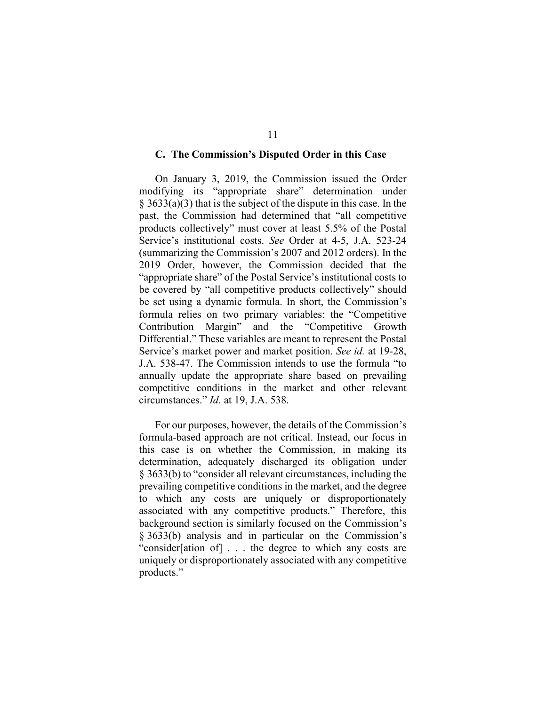#### **C. The Commission's Disputed Order in this Case**

On January 3, 2019, the Commission issued the Order modifying its "appropriate share" determination under  $\S$  3633(a)(3) that is the subject of the dispute in this case. In the past, the Commission had determined that "all competitive products collectively" must cover at least 5.5% of the Postal Service's institutional costs. *See* Order at 4-5, J.A. 523-24 (summarizing the Commission's 2007 and 2012 orders). In the 2019 Order, however, the Commission decided that the "appropriate share" of the Postal Service's institutional costs to be covered by "all competitive products collectively" should be set using a dynamic formula. In short, the Commission's formula relies on two primary variables: the "Competitive Contribution Margin" and the "Competitive Growth Differential." These variables are meant to represent the Postal Service's market power and market position. *See id.* at 19-28, J.A. 538-47. The Commission intends to use the formula "to annually update the appropriate share based on prevailing competitive conditions in the market and other relevant circumstances." *Id.* at 19, J.A. 538.

For our purposes, however, the details of the Commission's formula-based approach are not critical. Instead, our focus in this case is on whether the Commission, in making its determination, adequately discharged its obligation under § 3633(b) to "consider all relevant circumstances, including the prevailing competitive conditions in the market, and the degree to which any costs are uniquely or disproportionately associated with any competitive products." Therefore, this background section is similarly focused on the Commission's § 3633(b) analysis and in particular on the Commission's "consider[ation of] . . . the degree to which any costs are uniquely or disproportionately associated with any competitive products."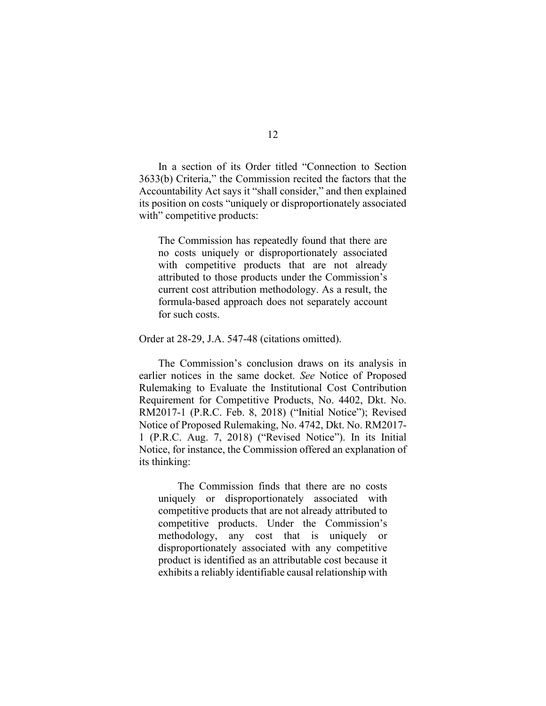In a section of its Order titled "Connection to Section 3633(b) Criteria," the Commission recited the factors that the Accountability Act says it "shall consider," and then explained its position on costs "uniquely or disproportionately associated with" competitive products:

The Commission has repeatedly found that there are no costs uniquely or disproportionately associated with competitive products that are not already attributed to those products under the Commission's current cost attribution methodology. As a result, the formula-based approach does not separately account for such costs.

Order at 28-29, J.A. 547-48 (citations omitted).

The Commission's conclusion draws on its analysis in earlier notices in the same docket. *See* Notice of Proposed Rulemaking to Evaluate the Institutional Cost Contribution Requirement for Competitive Products, No. 4402, Dkt. No. RM2017-1 (P.R.C. Feb. 8, 2018) ("Initial Notice"); Revised Notice of Proposed Rulemaking, No. 4742, Dkt. No. RM2017- 1 (P.R.C. Aug. 7, 2018) ("Revised Notice"). In its Initial Notice, for instance, the Commission offered an explanation of its thinking:

The Commission finds that there are no costs uniquely or disproportionately associated with competitive products that are not already attributed to competitive products. Under the Commission's methodology, any cost that is uniquely or disproportionately associated with any competitive product is identified as an attributable cost because it exhibits a reliably identifiable causal relationship with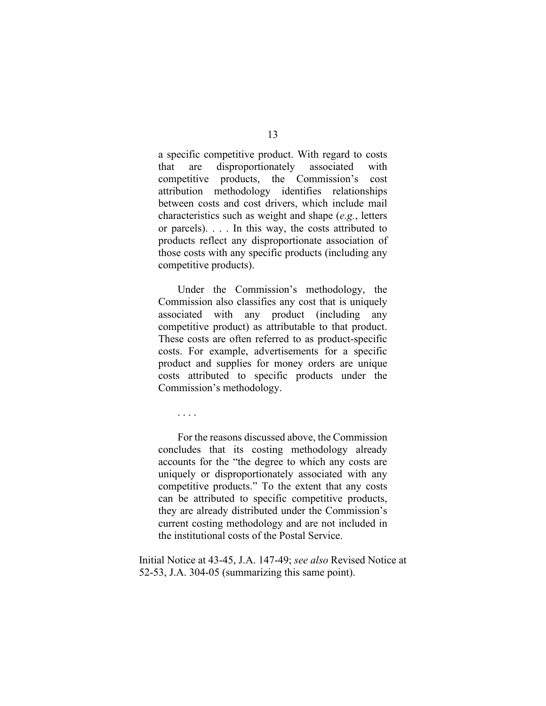a specific competitive product. With regard to costs that are disproportionately associated with competitive products, the Commission's cost attribution methodology identifies relationships between costs and cost drivers, which include mail characteristics such as weight and shape (*e.g.*, letters or parcels). . . . In this way, the costs attributed to products reflect any disproportionate association of those costs with any specific products (including any competitive products).

Under the Commission's methodology, the Commission also classifies any cost that is uniquely associated with any product (including any competitive product) as attributable to that product. These costs are often referred to as product-specific costs. For example, advertisements for a specific product and supplies for money orders are unique costs attributed to specific products under the Commission's methodology.

. . . .

For the reasons discussed above, the Commission concludes that its costing methodology already accounts for the "the degree to which any costs are uniquely or disproportionately associated with any competitive products." To the extent that any costs can be attributed to specific competitive products, they are already distributed under the Commission's current costing methodology and are not included in the institutional costs of the Postal Service.

Initial Notice at 43-45, J.A. 147-49; *see also* Revised Notice at 52-53, J.A. 304-05 (summarizing this same point).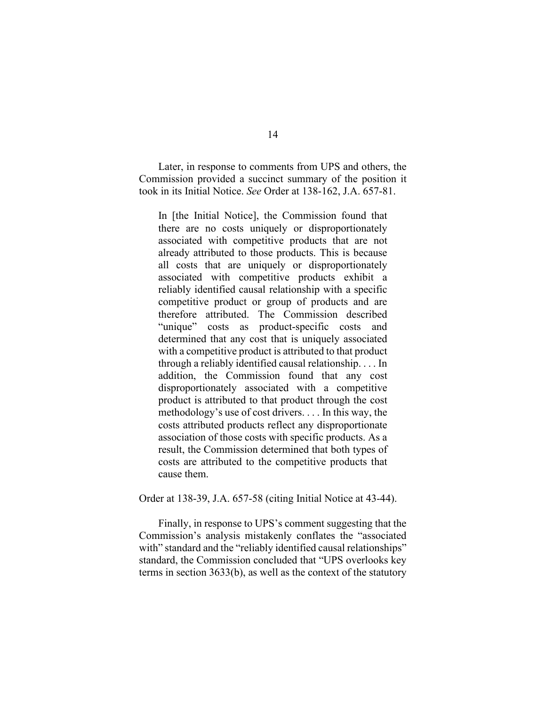Later, in response to comments from UPS and others, the Commission provided a succinct summary of the position it took in its Initial Notice. *See* Order at 138-162, J.A. 657-81.

In [the Initial Notice], the Commission found that there are no costs uniquely or disproportionately associated with competitive products that are not already attributed to those products. This is because all costs that are uniquely or disproportionately associated with competitive products exhibit a reliably identified causal relationship with a specific competitive product or group of products and are therefore attributed. The Commission described "unique" costs as product-specific costs and determined that any cost that is uniquely associated with a competitive product is attributed to that product through a reliably identified causal relationship. . . . In addition, the Commission found that any cost disproportionately associated with a competitive product is attributed to that product through the cost methodology's use of cost drivers. . . . In this way, the costs attributed products reflect any disproportionate association of those costs with specific products. As a result, the Commission determined that both types of costs are attributed to the competitive products that cause them.

Order at 138-39, J.A. 657-58 (citing Initial Notice at 43-44).

Finally, in response to UPS's comment suggesting that the Commission's analysis mistakenly conflates the "associated with" standard and the "reliably identified causal relationships" standard, the Commission concluded that "UPS overlooks key terms in section 3633(b), as well as the context of the statutory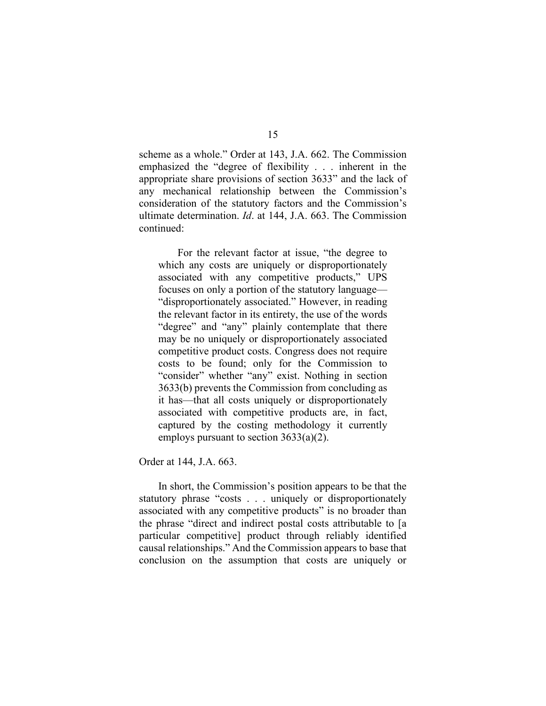scheme as a whole." Order at 143, J.A. 662. The Commission emphasized the "degree of flexibility . . . inherent in the appropriate share provisions of section 3633" and the lack of any mechanical relationship between the Commission's consideration of the statutory factors and the Commission's ultimate determination. *Id*. at 144, J.A. 663. The Commission continued:

For the relevant factor at issue, "the degree to which any costs are uniquely or disproportionately associated with any competitive products," UPS focuses on only a portion of the statutory language— "disproportionately associated." However, in reading the relevant factor in its entirety, the use of the words "degree" and "any" plainly contemplate that there may be no uniquely or disproportionately associated competitive product costs. Congress does not require costs to be found; only for the Commission to "consider" whether "any" exist. Nothing in section 3633(b) prevents the Commission from concluding as it has—that all costs uniquely or disproportionately associated with competitive products are, in fact, captured by the costing methodology it currently employs pursuant to section 3633(a)(2).

Order at 144, J.A. 663.

In short, the Commission's position appears to be that the statutory phrase "costs . . . uniquely or disproportionately associated with any competitive products" is no broader than the phrase "direct and indirect postal costs attributable to [a particular competitive] product through reliably identified causal relationships." And the Commission appears to base that conclusion on the assumption that costs are uniquely or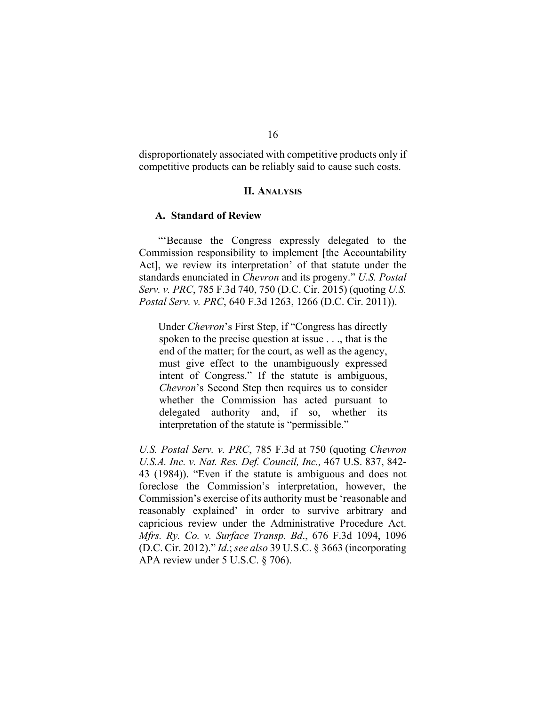disproportionately associated with competitive products only if competitive products can be reliably said to cause such costs.

#### **II. ANALYSIS**

#### **A. Standard of Review**

"'Because the Congress expressly delegated to the Commission responsibility to implement [the Accountability Act], we review its interpretation' of that statute under the standards enunciated in *Chevron* and its progeny." *U.S. Postal Serv. v. PRC*, 785 F.3d 740, 750 (D.C. Cir. 2015) (quoting *U.S. Postal Serv. v. PRC*, 640 F.3d 1263, 1266 (D.C. Cir. 2011)).

Under *Chevron*'s First Step, if "Congress has directly spoken to the precise question at issue . . ., that is the end of the matter; for the court, as well as the agency, must give effect to the unambiguously expressed intent of Congress." If the statute is ambiguous, *Chevron*'s Second Step then requires us to consider whether the Commission has acted pursuant to delegated authority and, if so, whether its interpretation of the statute is "permissible."

*U.S. Postal Serv. v. PRC*, 785 F.3d at 750 (quoting *Chevron U.S.A. Inc. v. Nat. Res. Def. Council, Inc.,* 467 U.S. 837, 842- 43 (1984)). "Even if the statute is ambiguous and does not foreclose the Commission's interpretation, however, the Commission's exercise of its authority must be 'reasonable and reasonably explained' in order to survive arbitrary and capricious review under the Administrative Procedure Act. *Mfrs. Ry. Co. v. Surface Transp. Bd*., 676 F.3d 1094, 1096 (D.C. Cir. 2012)." *Id*.; *see also* 39 U.S.C. § 3663 (incorporating APA review under 5 U.S.C. § 706).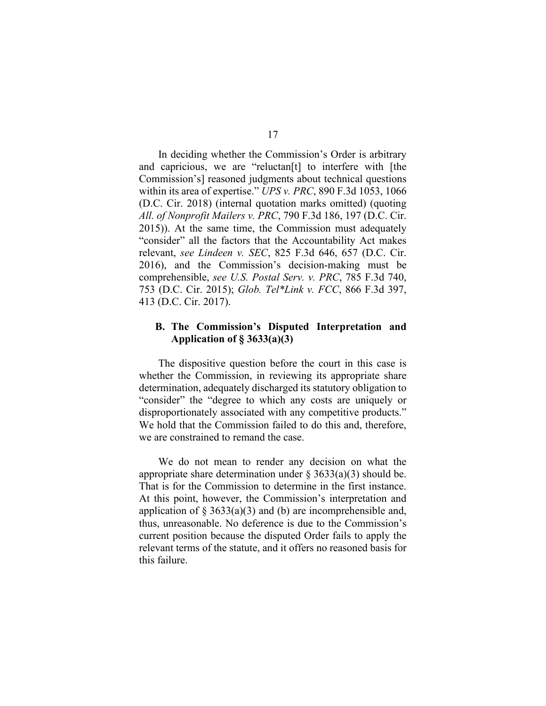In deciding whether the Commission's Order is arbitrary and capricious, we are "reluctan[t] to interfere with [the Commission's] reasoned judgments about technical questions within its area of expertise." *UPS v. PRC*, 890 F.3d 1053, 1066 (D.C. Cir. 2018) (internal quotation marks omitted) (quoting *All. of Nonprofit Mailers v. PRC*, 790 F.3d 186, 197 (D.C. Cir. 2015)). At the same time, the Commission must adequately "consider" all the factors that the Accountability Act makes relevant, *see Lindeen v. SEC*, 825 F.3d 646, 657 (D.C. Cir. 2016), and the Commission's decision-making must be comprehensible, *see U.S. Postal Serv. v. PRC*, 785 F.3d 740, 753 (D.C. Cir. 2015); *Glob. Tel\*Link v. FCC*, 866 F.3d 397, 413 (D.C. Cir. 2017).

## **B. The Commission's Disputed Interpretation and Application of § 3633(a)(3)**

The dispositive question before the court in this case is whether the Commission, in reviewing its appropriate share determination, adequately discharged its statutory obligation to "consider" the "degree to which any costs are uniquely or disproportionately associated with any competitive products." We hold that the Commission failed to do this and, therefore, we are constrained to remand the case.

We do not mean to render any decision on what the appropriate share determination under  $\S 3633(a)(3)$  should be. That is for the Commission to determine in the first instance. At this point, however, the Commission's interpretation and application of  $\S 3633(a)(3)$  and (b) are incomprehensible and, thus, unreasonable. No deference is due to the Commission's current position because the disputed Order fails to apply the relevant terms of the statute, and it offers no reasoned basis for this failure.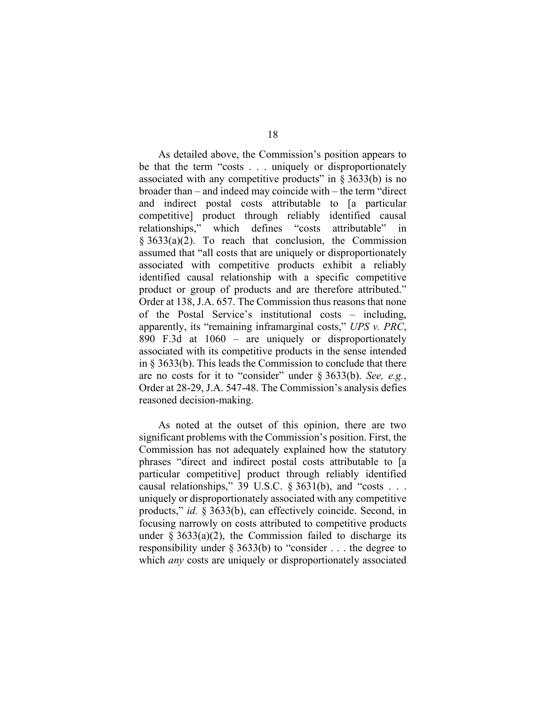As detailed above, the Commission's position appears to be that the term "costs . . . uniquely or disproportionately associated with any competitive products" in  $\S 3633(b)$  is no broader than – and indeed may coincide with – the term "direct and indirect postal costs attributable to [a particular competitive] product through reliably identified causal relationships," which defines "costs attributable"  $§ 3633(a)(2)$ . To reach that conclusion, the Commission assumed that "all costs that are uniquely or disproportionately associated with competitive products exhibit a reliably identified causal relationship with a specific competitive product or group of products and are therefore attributed." Order at 138, J.A. 657. The Commission thus reasons that none of the Postal Service's institutional costs – including, apparently, its "remaining inframarginal costs," *UPS v. PRC*, 890 F.3d at 1060 – are uniquely or disproportionately associated with its competitive products in the sense intended in § 3633(b). This leads the Commission to conclude that there are no costs for it to "consider" under § 3633(b). *See, e.g.*, Order at 28-29, J.A. 547-48. The Commission's analysis defies reasoned decision-making.

As noted at the outset of this opinion, there are two significant problems with the Commission's position. First, the Commission has not adequately explained how the statutory phrases "direct and indirect postal costs attributable to [a particular competitive] product through reliably identified causal relationships," 39 U.S.C.  $\S 3631(b)$ , and "costs . . . uniquely or disproportionately associated with any competitive products," *id.* § 3633(b), can effectively coincide. Second, in focusing narrowly on costs attributed to competitive products under  $\S 3633(a)(2)$ , the Commission failed to discharge its responsibility under § 3633(b) to "consider . . . the degree to which *any* costs are uniquely or disproportionately associated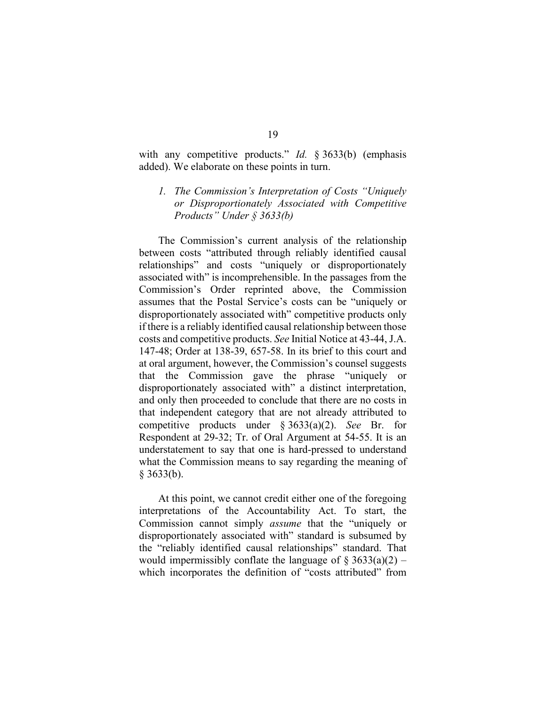with any competitive products." *Id.* § 3633(b) (emphasis added). We elaborate on these points in turn.

# *1. The Commission's Interpretation of Costs "Uniquely or Disproportionately Associated with Competitive Products" Under § 3633(b)*

The Commission's current analysis of the relationship between costs "attributed through reliably identified causal relationships" and costs "uniquely or disproportionately associated with" is incomprehensible. In the passages from the Commission's Order reprinted above, the Commission assumes that the Postal Service's costs can be "uniquely or disproportionately associated with" competitive products only if there is a reliably identified causal relationship between those costs and competitive products. *See* Initial Notice at 43-44, J.A. 147-48; Order at 138-39, 657-58. In its brief to this court and at oral argument, however, the Commission's counsel suggests that the Commission gave the phrase "uniquely or disproportionately associated with" a distinct interpretation, and only then proceeded to conclude that there are no costs in that independent category that are not already attributed to competitive products under § 3633(a)(2). *See* Br. for Respondent at 29-32; Tr. of Oral Argument at 54-55. It is an understatement to say that one is hard-pressed to understand what the Commission means to say regarding the meaning of § 3633(b).

At this point, we cannot credit either one of the foregoing interpretations of the Accountability Act. To start, the Commission cannot simply *assume* that the "uniquely or disproportionately associated with" standard is subsumed by the "reliably identified causal relationships" standard. That would impermissibly conflate the language of  $\S 3633(a)(2)$  – which incorporates the definition of "costs attributed" from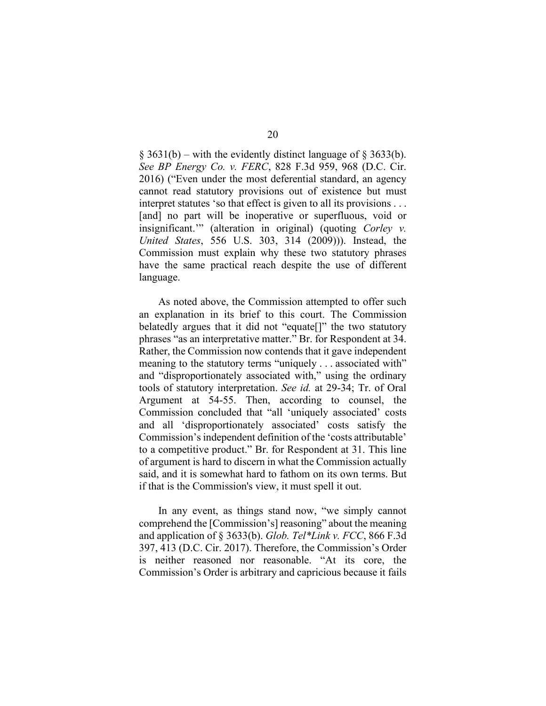$\S$  3631(b) – with the evidently distinct language of  $\S$  3633(b). *See BP Energy Co. v. FERC*, 828 F.3d 959, 968 (D.C. Cir. 2016) ("Even under the most deferential standard, an agency cannot read statutory provisions out of existence but must interpret statutes 'so that effect is given to all its provisions . . . [and] no part will be inoperative or superfluous, void or insignificant.'" (alteration in original) (quoting *Corley v. United States*, 556 U.S. 303, 314 (2009))). Instead, the Commission must explain why these two statutory phrases have the same practical reach despite the use of different language.

As noted above, the Commission attempted to offer such an explanation in its brief to this court. The Commission belatedly argues that it did not "equate<sup>[]"</sup> the two statutory phrases "as an interpretative matter." Br. for Respondent at 34. Rather, the Commission now contends that it gave independent meaning to the statutory terms "uniquely . . . associated with" and "disproportionately associated with," using the ordinary tools of statutory interpretation. *See id.* at 29-34; Tr. of Oral Argument at 54-55. Then, according to counsel, the Commission concluded that "all 'uniquely associated' costs and all 'disproportionately associated' costs satisfy the Commission's independent definition of the 'costs attributable' to a competitive product." Br. for Respondent at 31. This line of argument is hard to discern in what the Commission actually said, and it is somewhat hard to fathom on its own terms. But if that is the Commission's view, it must spell it out.

In any event, as things stand now, "we simply cannot comprehend the [Commission's] reasoning" about the meaning and application of § 3633(b). *Glob. Tel\*Link v. FCC*, 866 F.3d 397, 413 (D.C. Cir. 2017). Therefore, the Commission's Order is neither reasoned nor reasonable. "At its core, the Commission's Order is arbitrary and capricious because it fails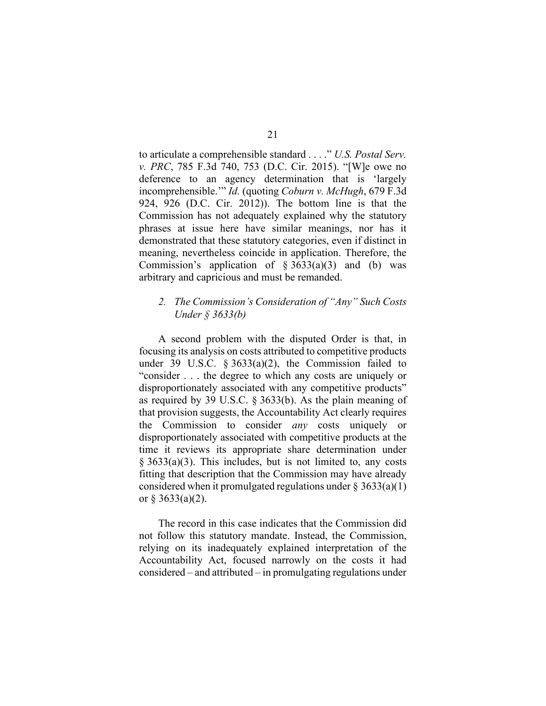to articulate a comprehensible standard . . . ." *U.S. Postal Serv. v. PRC*, 785 F.3d 740, 753 (D.C. Cir. 2015). "[W]e owe no deference to an agency determination that is 'largely incomprehensible.'" *Id.* (quoting *Coburn v. McHugh*, 679 F.3d 924, 926 (D.C. Cir. 2012)). The bottom line is that the Commission has not adequately explained why the statutory phrases at issue here have similar meanings, nor has it demonstrated that these statutory categories, even if distinct in meaning, nevertheless coincide in application. Therefore, the Commission's application of  $\S 3633(a)(3)$  and (b) was arbitrary and capricious and must be remanded.

## *2. The Commission's Consideration of "Any" Such Costs Under § 3633(b)*

A second problem with the disputed Order is that, in focusing its analysis on costs attributed to competitive products under 39 U.S.C.  $\S 3633(a)(2)$ , the Commission failed to "consider . . . the degree to which any costs are uniquely or disproportionately associated with any competitive products" as required by 39 U.S.C. § 3633(b). As the plain meaning of that provision suggests, the Accountability Act clearly requires the Commission to consider *any* costs uniquely or disproportionately associated with competitive products at the time it reviews its appropriate share determination under § 3633(a)(3). This includes, but is not limited to, any costs fitting that description that the Commission may have already considered when it promulgated regulations under  $\S 3633(a)(1)$ or  $\S 3633(a)(2)$ .

The record in this case indicates that the Commission did not follow this statutory mandate. Instead, the Commission, relying on its inadequately explained interpretation of the Accountability Act, focused narrowly on the costs it had considered – and attributed – in promulgating regulations under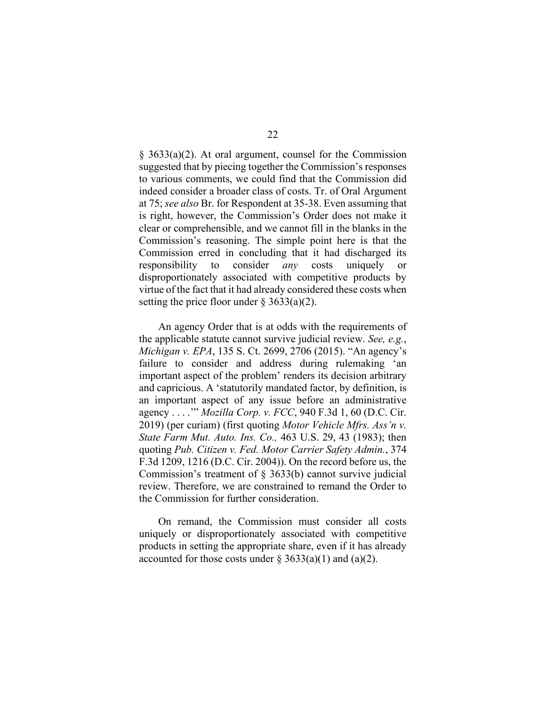§ 3633(a)(2). At oral argument, counsel for the Commission suggested that by piecing together the Commission's responses to various comments, we could find that the Commission did indeed consider a broader class of costs. Tr. of Oral Argument at 75; *see also* Br. for Respondent at 35-38. Even assuming that is right, however, the Commission's Order does not make it clear or comprehensible, and we cannot fill in the blanks in the Commission's reasoning. The simple point here is that the Commission erred in concluding that it had discharged its responsibility to consider *any* costs uniquely or disproportionately associated with competitive products by virtue of the fact that it had already considered these costs when setting the price floor under  $\S 3633(a)(2)$ .

An agency Order that is at odds with the requirements of the applicable statute cannot survive judicial review. *See, e.g.*, *Michigan v. EPA*, 135 S. Ct. 2699, 2706 (2015). "An agency's failure to consider and address during rulemaking 'an important aspect of the problem' renders its decision arbitrary and capricious. A 'statutorily mandated factor, by definition, is an important aspect of any issue before an administrative agency . . . .'" *Mozilla Corp. v. FCC*, 940 F.3d 1, 60 (D.C. Cir. 2019) (per curiam) (first quoting *Motor Vehicle Mfrs. Ass'n v. State Farm Mut. Auto. Ins. Co.,* 463 U.S. 29, 43 (1983); then quoting *Pub. Citizen v. Fed. Motor Carrier Safety Admin.*, 374 F.3d 1209, 1216 (D.C. Cir. 2004)). On the record before us, the Commission's treatment of § 3633(b) cannot survive judicial review. Therefore, we are constrained to remand the Order to the Commission for further consideration.

On remand, the Commission must consider all costs uniquely or disproportionately associated with competitive products in setting the appropriate share, even if it has already accounted for those costs under  $\S 3633(a)(1)$  and  $(a)(2)$ .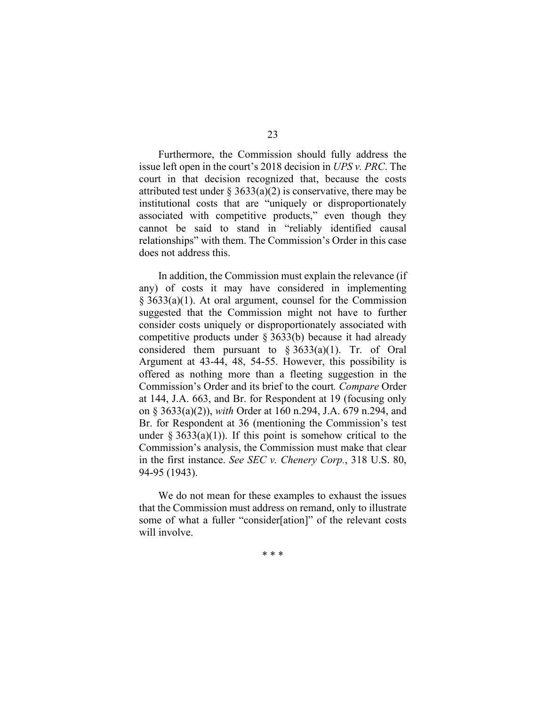Furthermore, the Commission should fully address the issue left open in the court's 2018 decision in *UPS v. PRC*. The court in that decision recognized that, because the costs attributed test under  $\S 3633(a)(2)$  is conservative, there may be institutional costs that are "uniquely or disproportionately associated with competitive products," even though they cannot be said to stand in "reliably identified causal relationships" with them. The Commission's Order in this case does not address this.

In addition, the Commission must explain the relevance (if any) of costs it may have considered in implementing § 3633(a)(1). At oral argument, counsel for the Commission suggested that the Commission might not have to further consider costs uniquely or disproportionately associated with competitive products under § 3633(b) because it had already considered them pursuant to  $\S 3633(a)(1)$ . Tr. of Oral Argument at 43-44, 48, 54-55. However, this possibility is offered as nothing more than a fleeting suggestion in the Commission's Order and its brief to the court*. Compare* Order at 144, J.A. 663, and Br. for Respondent at 19 (focusing only on § 3633(a)(2)), *with* Order at 160 n.294, J.A. 679 n.294, and Br. for Respondent at 36 (mentioning the Commission's test under § 3633(a)(1)). If this point is somehow critical to the Commission's analysis, the Commission must make that clear in the first instance. *See SEC v. Chenery Corp.*, 318 U.S. 80, 94-95 (1943).

We do not mean for these examples to exhaust the issues that the Commission must address on remand, only to illustrate some of what a fuller "consider[ation]" of the relevant costs will involve.

23

\* \* \*